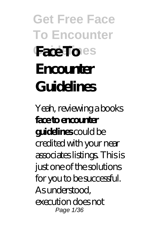# **Get Free Face To Encounter Familines Encounter Guidelines**

Yeah, reviewing a books **face to encounter guidelines** could be credited with your near associates listings. This is just one of the solutions for you to be successful. As understood, execution does not Page 1/36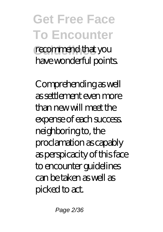#### **Get Free Face To Encounter** recommend that you have wonderful points.

Comprehending as well as settlement even more than new will meet the expense of each success. neighboring to, the proclamation as capably as perspicacity of this face to encounter guidelines can be taken as well as picked to act.

Page 2/36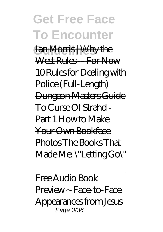#### **Get Free Face To Encounter Fan Morris | Why the** West Rules -- For Now 10 Rules for Dealing with Police (Full-Length) Dungeon Masters Guide To Curse Of Strahd - Part 1 How to Make Your Own Bookface Photos *The Books That*

*Made Me: \"Letting Go\"*

Free Audio Book Preview ~ Face-to-Face Appearances from Jesus Page 3/36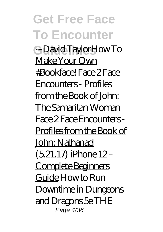**Get Free Face To Encounter Guidelines** ~ David TaylorHow To Make Your Own #Bookface! Face 2 Face Encounters - Profiles from the Book of John: The Samaritan Woman Face 2 Face Encounters - Profiles from the Book of John: Nathanael  $(5.21.17)$  iPhone  $12-$ Complete Beginners Guide *How to Run Downtime in Dungeons and Dragons 5e* THE Page 4/36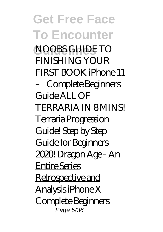**Get Free Face To Encounter Guidelines** NOOBS GUIDE TO FINISHING YOUR FIRST BOOK *iPhone 11 – Complete Beginners Guide* ALL OF TERRARIA IN 8 MINS! Terraria Progression Guide! Step by Step Guide for Beginners 2020! Dragon Age - An Entire Series Retrospective and Analysis iPhone X – Complete Beginners Page 5/36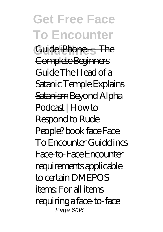#### **Get Free Face To Encounter** Guide iPhone – The Complete Beginners Guide The Head of a Satanic Temple Explains Satanism *Beyond Alpha Podcast | How to Respond to Rude People? book face Face To Encounter Guidelines* Face-to-Face Encounter requirements applicable to certain DMEPOS items: For all items requiring a face-to-face Page 6/36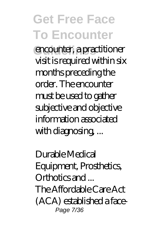**Guidelines** encounter, a practitioner visit is required within six months preceding the order. The encounter must be used to gather subjective and objective information associated with diagnosing, ...

*Durable Medical Equipment, Prosthetics, Orthotics and ...* The Affordable Care Act (ACA) established a face-Page 7/36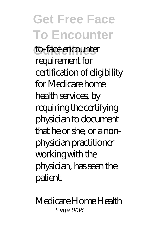**Guidelines** to-face encounter requirement for certification of eligibility for Medicare home health services, by requiring the certifying physician to document that he or she, or a nonphysician practitioner working with the physician, has seen the patient.

*Medicare Home Health* Page 8/36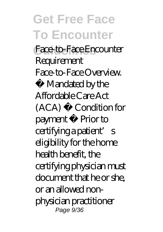**Guidelines** *Face-to-Face Encounter Requirement* Face-to-Face Overview.

• Mandated by the Affordable Care Act (ACA) • Condition for payment • Prior to certifying a patient's eligibility for the home health benefit, the certifying physician must document that he or she, or an allowed nonphysician practitioner Page 9/36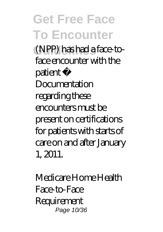**Get Free Face To Encounter Guidelines** (NPP) has had a face-toface encounter with the patient • Documentation regarding these encounters must be present on certifications for patients with starts of care on and after January 1, 2011.

*Medicare Home Health Face-to-Face Requirement* Page 10/36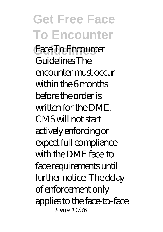#### **Get Free Face To Encounter Guidelines** Face To Encounter Guidelines The encounter must occur within the 6 months before the order is written for the DME. CMS will not start actively enforcing or expect full compliance with the DME face-toface requirements until further notice. The delay of enforcement only applies to the face-to-face Page 11/36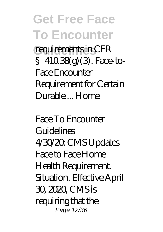requirements in CFR § 410.38(g) (3). Face-to-Face Encounter Requirement for Certain Durable ... Home

*Face To Encounter Guidelines* 4/30/20: CMS Updates Face to Face Home Health Requirement. Situation. Effective April 30, 2020, CMS is requiring that the Page 12/36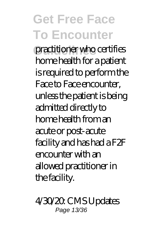practitioner who certifies home health for a patient is required to perform the Face to Face encounter, unless the patient is being admitted directly to home health from an acute or post-acute facility and has had a F2F encounter with an allowed practitioner in the facility.

*4/30/20: CMS Updates* Page 13/36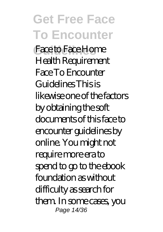**Get Free Face To Encounter Guidelines** *Face to Face Home Health Requirement* Face To Encounter Guidelines This is likewise one of the factors by obtaining the soft documents of this face to encounter guidelines by online. You might not require more era to spend to go to the ebook foundation as without difficulty as search for them. In some cases, you Page 14/36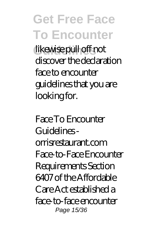**Guidelines** likewise pull off not discover the declaration face to encounter guidelines that you are looking for.

*Face To Encounter Guidelines orrisrestaurant.com* Face-to-Face Encounter Requirements Section 6407 of the Affordable Care Act established a face-to-face encounter Page 15/36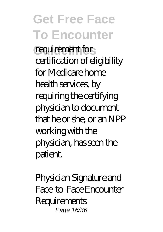requirement for certification of eligibility for Medicare home health services, by requiring the certifying physician to document that he or she, or an NPP working with the physician, has seen the patient.

*Physician Signature and Face-to-Face Encounter Requirements* Page 16/36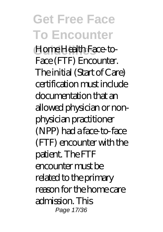#### **Get Free Face To Encounter Guidelines** Home Health Face-to-Face (FTF) Encounter. The initial (Start of Care) certification must include documentation that an allowed physician or nonphysician practitioner (NPP) had a face-to-face (FTF) encounter with the patient. The FTF encounter must be related to the primary reason for the home care admission. This Page 17/36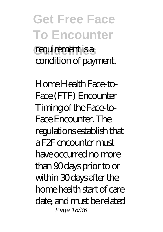#### **Get Free Face To Encounter** requirement is a condition of payment.

*Home Health Face-to-Face (FTF) Encounter* Timing of the Face-to-Face Encounter. The regulations establish that a F2F encounter must have occurred no more than 90 days prior to or within 30 days after the home health start of care date, and must be related Page 18/36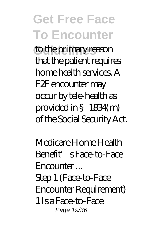to the primary reason that the patient requires home health services. A F2F encounter may occur by tele-health as provided in §1834(m) of the Social Security Act.

*Medicare Home Health Benefit's Face-to-Face Encounter ...* Step 1 (Face-to-Face Encounter Requirement) 1 Is a Face-to-Face Page 19/36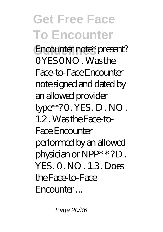Encounter note\* present?  $OYES ONO$  Was the Face-to-Face Encounter note signed and dated by an allowed provider type\*\*? 0. YES. D. NO. 1.2 . Was the Face-to-Face Encounter performed by an allowed physician or NPP\* \* ? D . YES . 0 . NO . 1.3 . Does the Face-to-Face Encounter ...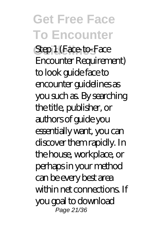**Get Free Face To Encounter** *Step 1 (Face-to-Face Encounter Requirement)* to look guide face to encounter guidelines as you such as. By searching the title, publisher, or authors of guide you essentially want, you can discover them rapidly. In the house, workplace, or perhaps in your method can be every best area within net connections. If you goal to download Page 21/36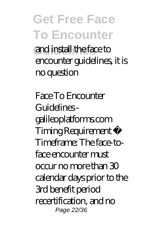#### **Get Free Face To Encounter Guidelines** and install the face to encounter guidelines, it is no question

*Face To Encounter Guidelines galileoplatforms.com* Timing Requirement • Timeframe: The face-toface encounter must occur no more than 30 calendar days prior to the 3rd benefit period recertification, and no Page 22/36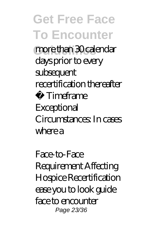**Guidelines** more than 30 calendar days prior to every subsequent recertification thereafter

• Timeframe Exceptional Circumstances: In cases where a

*Face-to-Face Requirement Affecting Hospice Recertification* ease you to look guide face to encounter Page 23/36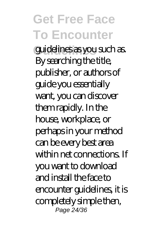**Guidelines** guidelines as you such as. By searching the title, publisher, or authors of guide you essentially want, you can discover them rapidly. In the house, workplace, or perhaps in your method can be every best area within net connections. If you want to download and install the face to encounter guidelines, it is completely simple then, Page 24/36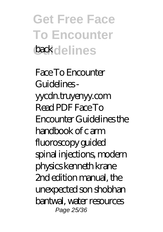#### **Get Free Face To Encounter Guidelines** back

*Face To Encounter Guidelines yycdn.truyenyy.com* Read PDF Face To Encounter Guidelines the handbook of c arm fluoroscopy guided spinal injections, modern physics kenneth krane 2nd edition manual, the unexpected son shobhan bantwal, water resources Page 25/36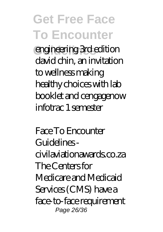**Guidelines** engineering 3rd edition david chin, an invitation to wellness making healthy choices with lab booklet and cengagenow infotrac 1 semester

*Face To Encounter Guidelines civilaviationawards.co.za* The Centers for Medicare and Medicaid Services (CMS) have a face-to-face requirement Page 26/36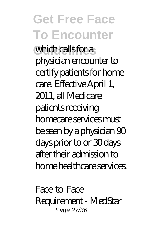#### **Get Free Face To Encounter** which calls for a physician encounter to certify patients for home care. Effective April 1, 2011, all Medicare patients receiving homecare services must be seen by a physician 90 days prior to or 30 days after their admission to home healthcare services.

*Face-to-Face Requirement - MedStar* Page 27/36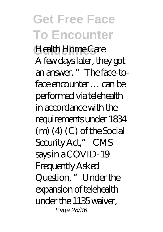**Guidelines** *Health Home Care* A few days later, they got an answer. "The face-toface encounter … can be performed via telehealth in accordance with the requirements under 1834  $(m)$   $(4)$   $(C)$  of the Social Security Act," CMS says in a COVID-19 Frequently Asked Question. " Under the expansion of telehealth under the 1135 waiver, Page 28/36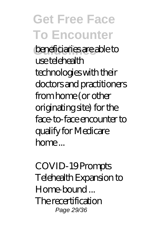#### **Get Free Face To Encounter Guidelines** beneficiaries are able to use telehealth technologies with their doctors and practitioners from home (or other originating site) for the face-to-face encounter to qualify for Medicare  $home...$

*COVID-19 Prompts Telehealth Expansion to Home-bound ...* The recertification Page 29/36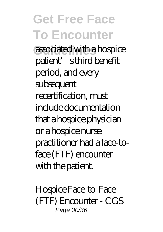**Guidelines** associated with a hospice patient's third benefit period, and every subsequent recertification, must include documentation that a hospice physician or a hospice nurse practitioner had a face-toface (FTF) encounter with the patient.

*Hospice Face-to-Face (FTF) Encounter - CGS* Page 30/36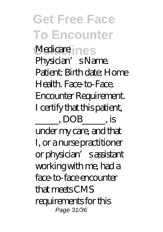**Get Free Face To Encounter Medicare nes** Physician' s Name. Patient: Birth date: Home Health. Face-to-Face. Encounter Requirement. I certify that this patient, \_\_\_\_\_, DOB\_\_\_\_\_, is under my care, and that I, or a nurse practitioner or physician's assistant working with me, had a face-to-face encounter that meets CMS requirements for this Page 31/36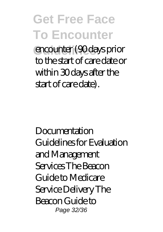**Guidelines** encounter (90 days prior to the start of care date or within 30 days after the start of care date).

Documentation Guidelines for Evaluation and Management Services The Beacon Guide to Medicare Service Delivery The Beacon Guide to Page 32/36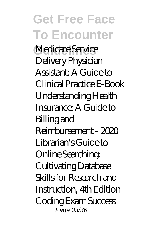**Medicare Service** Delivery Physician Assistant: A Guide to Clinical Practice E-Book Understanding Health Insurance: A Guide to Billing and Reimbursement - 2020 Librarian's Guide to Online Searching: Cultivating Database Skills for Research and Instruction, 4th Edition Coding Exam Success Page 33/36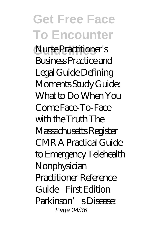#### **Get Free Face To Encounter Guidelines** Nurse Practitioner's Business Practice and Legal Guide Defining Moments Study Guide: What to Do When You Come Face-To-Face with the Truth The Massachusetts Register CMR A Practical Guide to Emergency Telehealth Nonphysician Practitioner Reference Guide - First Edition Parkinson's Disease: Page 34/36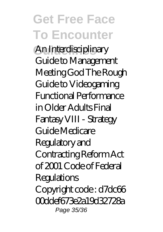**Guidelines** An Interdisciplinary Guide to Management Meeting God The Rough Guide to Videogaming Functional Performance in Older Adults Final Fantasy VIII - Strategy Guide Medicare Regulatory and Contracting Reform Act of 2001 Code of Federal Regulations Copyright code : d7dc66 00ddef673e2a19d32728a Page 35/36